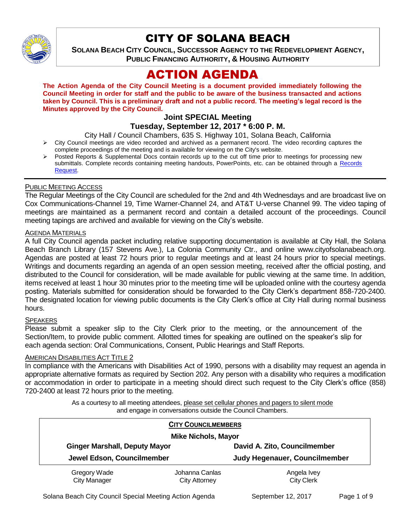

# CITY OF SOLANA BEACH

**SOLANA BEACH CITY COUNCIL, SUCCESSOR AGENCY TO THE REDEVELOPMENT AGENCY, PUBLIC FINANCING AUTHORITY, & HOUSING AUTHORITY** 

# ACTION AGENDA

**The Action Agenda of the City Council Meeting is a document provided immediately following the Council Meeting in order for staff and the public to be aware of the business transacted and actions taken by Council. This is a preliminary draft and not a public record. The meeting's legal record is the Minutes approved by the City Council.**

## **Joint SPECIAL Meeting Tuesday, September 12, 2017 \* 6:00 P. M.**

City Hall / Council Chambers, 635 S. Highway 101, Solana Beach, California

- $\triangleright$  City Council meetings are video recorded and archived as a permanent record. The video recording captures the complete proceedings of the meeting and is available for viewing on the City's website.
- Posted Reports & Supplemental Docs contain records up to the cut off time prior to meetings for processing new submittals. Complete records containing meeting handouts, PowerPoints, etc. can be obtained through a Records [Request.](http://www.ci.solana-beach.ca.us/index.asp?SEC=F5D45D10-70CE-4291-A27C-7BD633FC6742&Type=B_BASIC)

## PUBLIC MEETING ACCESS

The Regular Meetings of the City Council are scheduled for the 2nd and 4th Wednesdays and are broadcast live on Cox Communications-Channel 19, Time Warner-Channel 24, and AT&T U-verse Channel 99. The video taping of meetings are maintained as a permanent record and contain a detailed account of the proceedings. Council meeting tapings are archived and available for viewing on the City's website.

## AGENDA MATERIALS

A full City Council agenda packet including relative supporting documentation is available at City Hall, the Solana Beach Branch Library (157 Stevens Ave.), La Colonia Community Ctr., and online www.cityofsolanabeach.org. Agendas are posted at least 72 hours prior to regular meetings and at least 24 hours prior to special meetings. Writings and documents regarding an agenda of an open session meeting, received after the official posting, and distributed to the Council for consideration, will be made available for public viewing at the same time. In addition, items received at least 1 hour 30 minutes prior to the meeting time will be uploaded online with the courtesy agenda posting. Materials submitted for consideration should be forwarded to the City Clerk's department 858-720-2400. The designated location for viewing public documents is the City Clerk's office at City Hall during normal business hours.

## **SPEAKERS**

Please submit a speaker slip to the City Clerk prior to the meeting, or the announcement of the Section/Item, to provide public comment. Allotted times for speaking are outlined on the speaker's slip for each agenda section: Oral Communications, Consent, Public Hearings and Staff Reports.

## AMERICAN DISABILITIES ACT TITLE 2

In compliance with the Americans with Disabilities Act of 1990, persons with a disability may request an agenda in appropriate alternative formats as required by Section 202. Any person with a disability who requires a modification or accommodation in order to participate in a meeting should direct such request to the City Clerk's office (858) 720-2400 at least 72 hours prior to the meeting.

> As a courtesy to all meeting attendees, please set cellular phones and pagers to silent mode and engage in conversations outside the Council Chambers.

| <b>CITY COUNCILMEMBERS</b><br><b>Mike Nichols, Mayor</b> |                                        |                                  |
|----------------------------------------------------------|----------------------------------------|----------------------------------|
| <b>Ginger Marshall, Deputy Mayor</b>                     |                                        | David A. Zito, Councilmember     |
| Jewel Edson, Councilmember                               |                                        | Judy Hegenauer, Councilmember    |
| Gregory Wade<br><b>City Manager</b>                      | Johanna Canlas<br><b>City Attorney</b> | Angela Ivey<br><b>City Clerk</b> |

Solana Beach City Council Special Meeting Action Agenda September 12, 2017 Page 1 of 9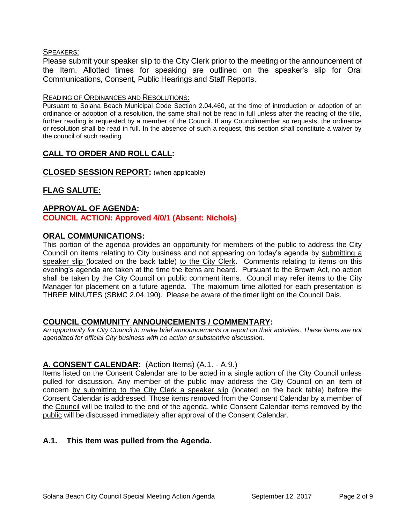## SPEAKERS:

Please submit your speaker slip to the City Clerk prior to the meeting or the announcement of the Item. Allotted times for speaking are outlined on the speaker's slip for Oral Communications, Consent, Public Hearings and Staff Reports.

#### READING OF ORDINANCES AND RESOLUTIONS:

Pursuant to Solana Beach Municipal Code Section 2.04.460, at the time of introduction or adoption of an ordinance or adoption of a resolution, the same shall not be read in full unless after the reading of the title, further reading is requested by a member of the Council. If any Councilmember so requests, the ordinance or resolution shall be read in full. In the absence of such a request, this section shall constitute a waiver by the council of such reading.

# **CALL TO ORDER AND ROLL CALL:**

## **CLOSED SESSION REPORT:** (when applicable)

# **FLAG SALUTE:**

#### **APPROVAL OF AGENDA: COUNCIL ACTION: Approved 4/0/1 (Absent: Nichols)**

## **ORAL COMMUNICATIONS:**

This portion of the agenda provides an opportunity for members of the public to address the City Council on items relating to City business and not appearing on today's agenda by submitting a speaker slip (located on the back table) to the City Clerk. Comments relating to items on this evening's agenda are taken at the time the items are heard. Pursuant to the Brown Act, no action shall be taken by the City Council on public comment items. Council may refer items to the City Manager for placement on a future agenda. The maximum time allotted for each presentation is THREE MINUTES (SBMC 2.04.190). Please be aware of the timer light on the Council Dais.

# **COUNCIL COMMUNITY ANNOUNCEMENTS / COMMENTARY:**

*An opportunity for City Council to make brief announcements or report on their activities. These items are not agendized for official City business with no action or substantive discussion.* 

# **A. CONSENT CALENDAR:** (Action Items) (A.1. - A.9.)

Items listed on the Consent Calendar are to be acted in a single action of the City Council unless pulled for discussion. Any member of the public may address the City Council on an item of concern by submitting to the City Clerk a speaker slip (located on the back table) before the Consent Calendar is addressed. Those items removed from the Consent Calendar by a member of the Council will be trailed to the end of the agenda, while Consent Calendar items removed by the public will be discussed immediately after approval of the Consent Calendar.

# **A.1. This Item was pulled from the Agenda.**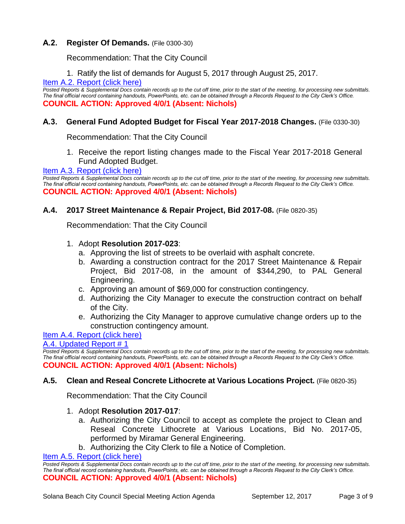# **A.2. Register Of Demands.** (File 0300-30)

Recommendation: That the City Council

1. Ratify the list of demands for August 5, 2017 through August 25, 2017.

## [Item A.2. Report \(click here\)](https://solanabeach.govoffice3.com/vertical/Sites/%7B840804C2-F869-4904-9AE3-720581350CE7%7D/uploads/Item_A.2._Report_(click_here)_9-12-17.PDF)

*Posted Reports & Supplemental Docs contain records up to the cut off time, prior to the start of the meeting, for processing new submittals. The final official record containing handouts, PowerPoints, etc. can be obtained through a Records Request to the City Clerk's Office.* **COUNCIL ACTION: Approved 4/0/1 (Absent: Nichols)**

## **A.3. General Fund Adopted Budget for Fiscal Year 2017-2018 Changes.** (File 0330-30)

Recommendation: That the City Council

1. Receive the report listing changes made to the Fiscal Year 2017-2018 General Fund Adopted Budget.

[Item A.3. Report \(click here\)](https://solanabeach.govoffice3.com/vertical/Sites/%7B840804C2-F869-4904-9AE3-720581350CE7%7D/uploads/Item_A.3._Report_(click_here)_9-12-17.PDF)

*Posted Reports & Supplemental Docs contain records up to the cut off time, prior to the start of the meeting, for processing new submittals. The final official record containing handouts, PowerPoints, etc. can be obtained through a Records Request to the City Clerk's Office.* **COUNCIL ACTION: Approved 4/0/1 (Absent: Nichols)**

## **A.4. 2017 Street Maintenance & Repair Project, Bid 2017-08.** (File 0820-35)

Recommendation: That the City Council

- 1. Adopt **Resolution 2017-023**:
	- a. Approving the list of streets to be overlaid with asphalt concrete.
	- b. Awarding a construction contract for the 2017 Street Maintenance & Repair Project, Bid 2017-08, in the amount of \$344,290, to PAL General Engineering.
	- c. Approving an amount of \$69,000 for construction contingency.
	- d. Authorizing the City Manager to execute the construction contract on behalf of the City.
	- e. Authorizing the City Manager to approve cumulative change orders up to the construction contingency amount.

## [Item A.4. Report \(click here\)](https://solanabeach.govoffice3.com/vertical/Sites/%7B840804C2-F869-4904-9AE3-720581350CE7%7D/uploads/Item_A.4._Report_(click_here)_9-12-17.pdf)

## [A.4. Updated Report # 1](https://solanabeach.govoffice3.com/vertical/Sites/%7B840804C2-F869-4904-9AE3-720581350CE7%7D/uploads/A.4._Updated_Report_1_-_9-12-17.pdf)

*Posted Reports & Supplemental Docs contain records up to the cut off time, prior to the start of the meeting, for processing new submittals. The final official record containing handouts, PowerPoints, etc. can be obtained through a Records Request to the City Clerk's Office.* **COUNCIL ACTION: Approved 4/0/1 (Absent: Nichols)**

## **A.5. Clean and Reseal Concrete Lithocrete at Various Locations Project.** (File 0820-35)

Recommendation: That the City Council

- 1. Adopt **Resolution 2017-017**:
	- a. Authorizing the City Council to accept as complete the project to Clean and Reseal Concrete Lithocrete at Various Locations, Bid No. 2017-05, performed by Miramar General Engineering.
	- b. Authorizing the City Clerk to file a Notice of Completion.

#### [Item A.5. Report \(click here\)](https://solanabeach.govoffice3.com/vertical/Sites/%7B840804C2-F869-4904-9AE3-720581350CE7%7D/uploads/Item_A.5._Report_(click_here)_9-12-17.PDF)

*Posted Reports & Supplemental Docs contain records up to the cut off time, prior to the start of the meeting, for processing new submittals. The final official record containing handouts, PowerPoints, etc. can be obtained through a Records Request to the City Clerk's Office.* **COUNCIL ACTION: Approved 4/0/1 (Absent: Nichols)**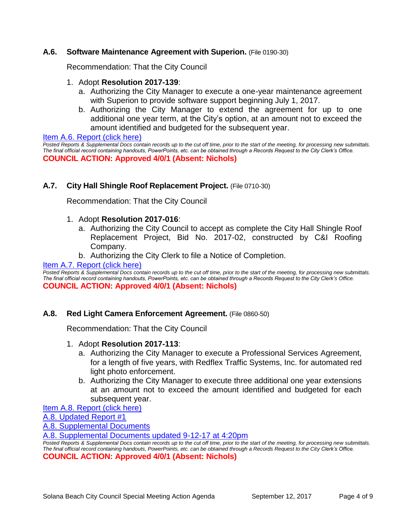## **A.6. Software Maintenance Agreement with Superion.** (File 0190-30)

Recommendation: That the City Council

- 1. Adopt **Resolution 2017-139**:
	- a. Authorizing the City Manager to execute a one-year maintenance agreement with Superion to provide software support beginning July 1, 2017.
	- b. Authorizing the City Manager to extend the agreement for up to one additional one year term, at the City's option, at an amount not to exceed the amount identified and budgeted for the subsequent year.

#### [Item A.6. Report \(click here\)](https://solanabeach.govoffice3.com/vertical/Sites/%7B840804C2-F869-4904-9AE3-720581350CE7%7D/uploads/Item_A.6._Report_(click_here)_9-12-17_.PDF)

*Posted Reports & Supplemental Docs contain records up to the cut off time, prior to the start of the meeting, for processing new submittals. The final official record containing handouts, PowerPoints, etc. can be obtained through a Records Request to the City Clerk's Office.* **COUNCIL ACTION: Approved 4/0/1 (Absent: Nichols)**

## **A.7. City Hall Shingle Roof Replacement Project.** (File 0710-30)

Recommendation: That the City Council

- 1. Adopt **Resolution 2017-016**:
	- a. Authorizing the City Council to accept as complete the City Hall Shingle Roof Replacement Project, Bid No. 2017-02, constructed by C&I Roofing Company.
	- b. Authorizing the City Clerk to file a Notice of Completion.

## [Item A.7. Report \(click here\)](https://solanabeach.govoffice3.com/vertical/Sites/%7B840804C2-F869-4904-9AE3-720581350CE7%7D/uploads/Item_A.7._Report_(click_here)_9-12-17.PDF)

*Posted Reports & Supplemental Docs contain records up to the cut off time, prior to the start of the meeting, for processing new submittals. The final official record containing handouts, PowerPoints, etc. can be obtained through a Records Request to the City Clerk's Office.* **COUNCIL ACTION: Approved 4/0/1 (Absent: Nichols)**

## **A.8. Red Light Camera Enforcement Agreement.** (File 0860-50)

Recommendation: That the City Council

- 1. Adopt **Resolution 2017-113**:
	- a. Authorizing the City Manager to execute a Professional Services Agreement, for a length of five years, with Redflex Traffic Systems, Inc. for automated red light photo enforcement.
	- b. Authorizing the City Manager to execute three additional one year extensions at an amount not to exceed the amount identified and budgeted for each subsequent year.

[Item A.8. Report \(click here\)](https://solanabeach.govoffice3.com/vertical/Sites/%7B840804C2-F869-4904-9AE3-720581350CE7%7D/uploads/Item_A.8._Report_(click_here)_9-12-17.PDF)

[A.8. Updated Report #1](https://solanabeach.govoffice3.com/vertical/Sites/%7B840804C2-F869-4904-9AE3-720581350CE7%7D/uploads/A.8._Updated_Report_1_-_9-12-17.pdf)

A.8. [Supplemental Documents](https://solanabeach.govoffice3.com/vertical/Sites/%7B840804C2-F869-4904-9AE3-720581350CE7%7D/uploads/A.8._Supplemental_Documents_-_9-11-17_at_245pm.pdf)

[A.8. Supplemental Documents updated 9-12-17](https://solanabeach.govoffice3.com/vertical/Sites/%7B840804C2-F869-4904-9AE3-720581350CE7%7D/uploads/A.8._Supplemental_Document_updated__9-12-17_at_420pm.pdf) at 4:20pm

*Posted Reports & Supplemental Docs contain records up to the cut off time, prior to the start of the meeting, for processing new submittals. The final official record containing handouts, PowerPoints, etc. can be obtained through a Records Request to the City Clerk's Office.*

**COUNCIL ACTION: Approved 4/0/1 (Absent: Nichols)**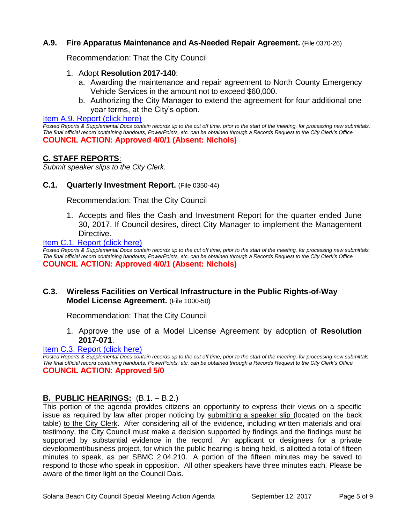# **A.9. Fire Apparatus Maintenance and As-Needed Repair Agreement.** (File 0370-26)

Recommendation: That the City Council

- 1. Adopt **Resolution 2017-140**:
	- a. Awarding the maintenance and repair agreement to North County Emergency Vehicle Services in the amount not to exceed \$60,000.
	- b. Authorizing the City Manager to extend the agreement for four additional one year terms, at the City's option.

[Item A.9. Report \(click here\)](https://solanabeach.govoffice3.com/vertical/Sites/%7B840804C2-F869-4904-9AE3-720581350CE7%7D/uploads/Item_A.9._Report_(click_here)_9-12-17.PDF)

*Posted Reports & Supplemental Docs contain records up to the cut off time, prior to the start of the meeting, for processing new submittals. The final official record containing handouts, PowerPoints, etc. can be obtained through a Records Request to the City Clerk's Office.* **COUNCIL ACTION: Approved 4/0/1 (Absent: Nichols)**

# **C. STAFF REPORTS**:

*Submit speaker slips to the City Clerk.*

## **C.1. Quarterly Investment Report.** (File 0350-44)

Recommendation: That the City Council

1. Accepts and files the Cash and Investment Report for the quarter ended June 30, 2017. If Council desires, direct City Manager to implement the Management Directive.

[Item C.1. Report \(click here\)](https://solanabeach.govoffice3.com/vertical/Sites/%7B840804C2-F869-4904-9AE3-720581350CE7%7D/uploads/Item_C.1._Report_(click_here)_9-12-17.pdf)

*Posted Reports & Supplemental Docs contain records up to the cut off time, prior to the start of the meeting, for processing new submittals. The final official record containing handouts, PowerPoints, etc. can be obtained through a Records Request to the City Clerk's Office.* **COUNCIL ACTION: Approved 4/0/1 (Absent: Nichols)**

# **C.3. Wireless Facilities on Vertical Infrastructure in the Public Rights-of-Way Model License Agreement.** (File 1000-50)

Recommendation: That the City Council

1. Approve the use of a Model License Agreement by adoption of **Resolution 2017-071**.

## [Item C.3. Report \(click here\)](https://solanabeach.govoffice3.com/vertical/Sites/%7B840804C2-F869-4904-9AE3-720581350CE7%7D/uploads/Item_C.3._Report_(click_here)_9-12-17.PDF)

*Posted Reports & Supplemental Docs contain records up to the cut off time, prior to the start of the meeting, for processing new submittals. The final official record containing handouts, PowerPoints, etc. can be obtained through a Records Request to the City Clerk's Office.* **COUNCIL ACTION: Approved 5/0** 

# **B. PUBLIC HEARINGS:** (B.1. – B.2.)

This portion of the agenda provides citizens an opportunity to express their views on a specific issue as required by law after proper noticing by submitting a speaker slip (located on the back table) to the City Clerk. After considering all of the evidence, including written materials and oral testimony, the City Council must make a decision supported by findings and the findings must be supported by substantial evidence in the record. An applicant or designees for a private development/business project, for which the public hearing is being held, is allotted a total of fifteen minutes to speak, as per SBMC 2.04.210. A portion of the fifteen minutes may be saved to respond to those who speak in opposition. All other speakers have three minutes each. Please be aware of the timer light on the Council Dais.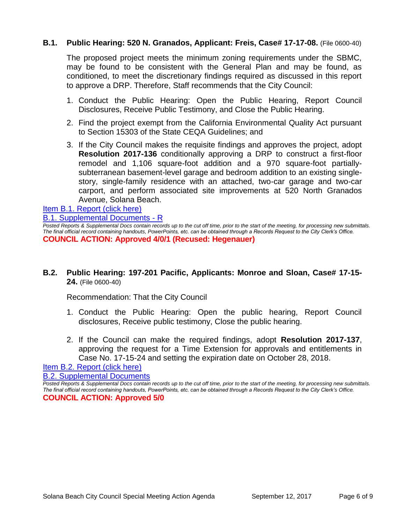# **B.1. Public Hearing: 520 N. Granados, Applicant: Freis, Case# 17-17-08.** (File 0600-40)

The proposed project meets the minimum zoning requirements under the SBMC, may be found to be consistent with the General Plan and may be found, as conditioned, to meet the discretionary findings required as discussed in this report to approve a DRP. Therefore, Staff recommends that the City Council:

- 1. Conduct the Public Hearing: Open the Public Hearing, Report Council Disclosures, Receive Public Testimony, and Close the Public Hearing.
- 2. Find the project exempt from the California Environmental Quality Act pursuant to Section 15303 of the State CEQA Guidelines; and
- 3. If the City Council makes the requisite findings and approves the project, adopt **Resolution 2017-136** conditionally approving a DRP to construct a first-floor remodel and 1,106 square-foot addition and a 970 square-foot partiallysubterranean basement-level garage and bedroom addition to an existing singlestory, single-family residence with an attached, two-car garage and two-car carport, and perform associated site improvements at 520 North Granados Avenue, Solana Beach.

[Item B.1. Report \(click here\)](https://solanabeach.govoffice3.com/vertical/Sites/%7B840804C2-F869-4904-9AE3-720581350CE7%7D/uploads/Item_B.1._Report_(click_here)_9-12-17.PDF)

[B.1. Supplemental Documents -](https://solanabeach.govoffice3.com/vertical/Sites/%7B840804C2-F869-4904-9AE3-720581350CE7%7D/uploads/B.1._Supplemental_Documents_-_R(3).pdf) R

*Posted Reports & Supplemental Docs contain records up to the cut off time, prior to the start of the meeting, for processing new submittals. The final official record containing handouts, PowerPoints, etc. can be obtained through a Records Request to the City Clerk's Office.* **COUNCIL ACTION: Approved 4/0/1 (Recused: Hegenauer)** 

**B.2. Public Hearing: 197-201 Pacific, Applicants: Monroe and Sloan, Case# 17-15- 24.** (File 0600-40)

Recommendation: That the City Council

- 1. Conduct the Public Hearing: Open the public hearing, Report Council disclosures, Receive public testimony, Close the public hearing.
- 2. If the Council can make the required findings, adopt **Resolution 2017-137**, approving the request for a Time Extension for approvals and entitlements in Case No. 17-15-24 and setting the expiration date on October 28, 2018.

[Item B.2. Report \(click here\)](https://solanabeach.govoffice3.com/vertical/Sites/%7B840804C2-F869-4904-9AE3-720581350CE7%7D/uploads/Item_B.2._Report_(click_here)_9-12-17.PDF)

[B.2. Supplemental Documents](https://solanabeach.govoffice3.com/vertical/Sites/%7B840804C2-F869-4904-9AE3-720581350CE7%7D/uploads/B.2._Supplemental_Documents_-_9-11-17.pdf)

*Posted Reports & Supplemental Docs contain records up to the cut off time, prior to the start of the meeting, for processing new submittals. The final official record containing handouts, PowerPoints, etc. can be obtained through a Records Request to the City Clerk's Office.* **COUNCIL ACTION: Approved 5/0**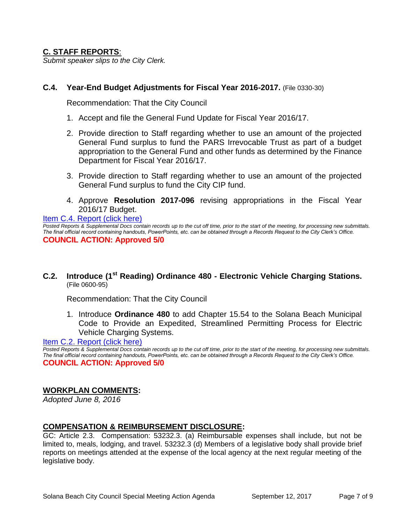# **C. STAFF REPORTS**:

*Submit speaker slips to the City Clerk.*

# **C.4. Year-End Budget Adjustments for Fiscal Year 2016-2017.** (File 0330-30)

Recommendation: That the City Council

- 1. Accept and file the General Fund Update for Fiscal Year 2016/17.
- 2. Provide direction to Staff regarding whether to use an amount of the projected General Fund surplus to fund the PARS Irrevocable Trust as part of a budget appropriation to the General Fund and other funds as determined by the Finance Department for Fiscal Year 2016/17.
- 3. Provide direction to Staff regarding whether to use an amount of the projected General Fund surplus to fund the City CIP fund.
- 4. Approve **Resolution 2017-096** revising appropriations in the Fiscal Year 2016/17 Budget.

[Item C.4. Report \(click here\)](https://solanabeach.govoffice3.com/vertical/Sites/%7B840804C2-F869-4904-9AE3-720581350CE7%7D/uploads/Item_C.4._Report_(click_here)_9-12-17.PDF) *Posted Reports & Supplemental Docs contain records up to the cut off time, prior to the start of the meeting, for processing new submittals. The final official record containing handouts, PowerPoints, etc. can be obtained through a Records Request to the City Clerk's Office.* **COUNCIL ACTION: Approved 5/0** 

**C.2. Introduce (1st Reading) Ordinance 480 - Electronic Vehicle Charging Stations.** (File 0600-95)

Recommendation: That the City Council

1. Introduce **Ordinance 480** to add Chapter 15.54 to the Solana Beach Municipal Code to Provide an Expedited, Streamlined Permitting Process for Electric Vehicle Charging Systems.

## [Item C.2. Report \(click here\)](https://solanabeach.govoffice3.com/vertical/Sites/%7B840804C2-F869-4904-9AE3-720581350CE7%7D/uploads/Item_C.2._Report_(click_here)_9-12-17.PDF)

*Posted Reports & Supplemental Docs contain records up to the cut off time, prior to the start of the meeting, for processing new submittals. The final official record containing handouts, PowerPoints, etc. can be obtained through a Records Request to the City Clerk's Office.* **COUNCIL ACTION: Approved 5/0** 

# **WORKPLAN COMMENTS:**

*Adopted June 8, 2016*

## **COMPENSATION & REIMBURSEMENT DISCLOSURE:**

GC: Article 2.3. Compensation: 53232.3. (a) Reimbursable expenses shall include, but not be limited to, meals, lodging, and travel. 53232.3 (d) Members of a legislative body shall provide brief reports on meetings attended at the expense of the local agency at the next regular meeting of the legislative body.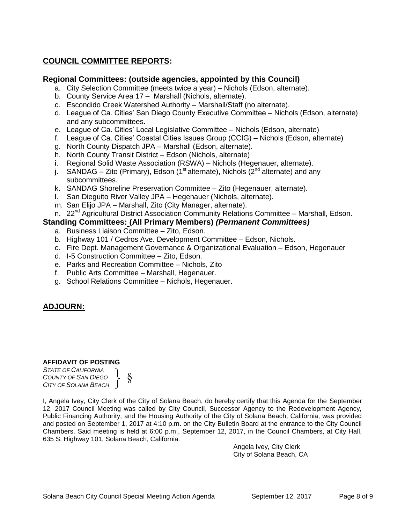# **COUNCIL COMMITTEE REPORTS:**

## **Regional Committees: (outside agencies, appointed by this Council)**

- a. City Selection Committee (meets twice a year) Nichols (Edson, alternate).
- b. County Service Area 17 Marshall (Nichols, alternate).
- c. Escondido Creek Watershed Authority Marshall/Staff (no alternate).
- d. League of Ca. Cities' San Diego County Executive Committee Nichols (Edson, alternate) and any subcommittees.
- e. League of Ca. Cities' Local Legislative Committee Nichols (Edson, alternate)
- f. League of Ca. Cities' Coastal Cities Issues Group (CCIG) Nichols (Edson, alternate)
- g. North County Dispatch JPA Marshall (Edson, alternate).
- h. North County Transit District Edson (Nichols, alternate)
- i. Regional Solid Waste Association (RSWA) Nichols (Hegenauer, alternate).
- j. SANDAG Zito (Primary), Edson (1<sup>st</sup> alternate), Nichols (2<sup>nd</sup> alternate) and any subcommittees.
- k. SANDAG Shoreline Preservation Committee Zito (Hegenauer, alternate).
- l. San Dieguito River Valley JPA Hegenauer (Nichols, alternate).
- m. San Elijo JPA Marshall, Zito (City Manager, alternate).
- n. 22<sup>nd</sup> Agricultural District Association Community Relations Committee Marshall, Edson.

# **Standing Committees: (All Primary Members)** *(Permanent Committees)*

- a. Business Liaison Committee Zito, Edson.
- b. Highway 101 / Cedros Ave. Development Committee Edson, Nichols.
- c. Fire Dept. Management Governance & Organizational Evaluation Edson, Hegenauer
- d. I-5 Construction Committee Zito, Edson.
- e. Parks and Recreation Committee Nichols, Zito
- f. Public Arts Committee Marshall, Hegenauer.
- g. School Relations Committee Nichols, Hegenauer.

# **ADJOURN:**

#### **AFFIDAVIT OF POSTING**

*STATE OF CALIFORNIA COUNTY OF SAN DIEGO CITY OF SOLANA BEACH* §

I, Angela Ivey, City Clerk of the City of Solana Beach, do hereby certify that this Agenda for the September 12, 2017 Council Meeting was called by City Council, Successor Agency to the Redevelopment Agency, Public Financing Authority, and the Housing Authority of the City of Solana Beach, California, was provided and posted on September 1, 2017 at 4:10 p.m. on the City Bulletin Board at the entrance to the City Council Chambers. Said meeting is held at 6:00 p.m., September 12, 2017, in the Council Chambers, at City Hall, 635 S. Highway 101, Solana Beach, California.

> Angela Ivey, City Clerk City of Solana Beach, CA